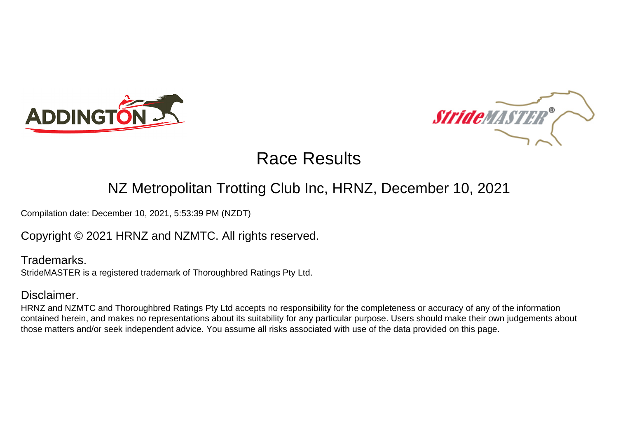



# Race Results

## NZ Metropolitan Trotting Club Inc, HRNZ, December 10, 2021

Compilation date: December 10, 2021, 5:53:39 PM (NZDT)

### Copyright © 2021 HRNZ and NZMTC. All rights reserved.

Trademarks. StrideMASTER is a registered trademark of Thoroughbred Ratings Pty Ltd.

#### Disclaimer.

HRNZ and NZMTC and Thoroughbred Ratings Pty Ltd accepts no responsibility for the completeness or accuracy of any of the information contained herein, and makes no representations about its suitability for any particular purpose. Users should make their own judgements about those matters and/or seek independent advice. You assume all risks associated with use of the data provided on this page.